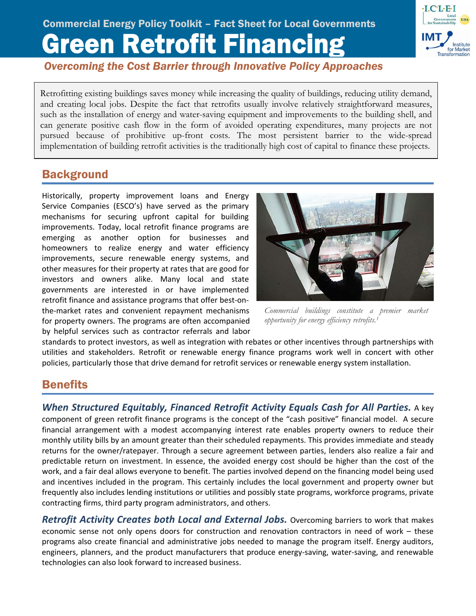# Green Retrofit Financing Commercial Energy Policy Toolkit – Fact Sheet for Local Governments



*Overcoming the Cost Barrier through Innovative Policy Approaches*

Retrofitting existing buildings saves money while increasing the quality of buildings, reducing utility demand, and creating local jobs. Despite the fact that retrofits usually involve relatively straightforward measures, such as the installation of energy and water-saving equipment and improvements to the building shell, and can generate positive cash flow in the form of avoided operating expenditures, many projects are not pursued because of prohibitive up-front costs. The most persistent barrier to the wide-spread implementation of building retrofit activities is the traditionally high cost of capital to finance these projects.

# **Background**

Ī

Historically, property improvement loans and Energy Service Companies (ESCO's) have served as the primary mechanisms for securing upfront capital for building improvements. Today, local retrofit finance programs are emerging as another option for businesses and homeowners to realize energy and water efficiency improvements, secure renewable energy systems, and other measures for their property at rates that are good for investors and owners alike. Many local and state governments are interested in or have implemented retrofit finance and assistance programs that offer best‐on‐ the‐market rates and convenient repayment mechanisms for property owners. The programs are often accompanied by helpful services such as contractor referrals and labor



*Commercial buildings constitute a premier market opportunity for energy efficiency retrofits.1*

standards to protect investors, as well as integration with rebates or other incentives through partnerships with utilities and stakeholders. Retrofit or renewable energy finance programs work well in concert with other policies, particularly those that drive demand for retrofit services or renewable energy system installation.

# **Benefits**

*When Structured Equitably, Financed Retrofit Activity Equals Cash for All Parties.* A key component of green retrofit finance programs is the concept of the "cash positive" financial model. A secure financial arrangement with a modest accompanying interest rate enables property owners to reduce their monthly utility bills by an amount greater than their scheduled repayments. This provides immediate and steady returns for the owner/ratepayer. Through a secure agreement between parties, lenders also realize a fair and predictable return on investment. In essence, the avoided energy cost should be higher than the cost of the work, and a fair deal allows everyone to benefit. The parties involved depend on the financing model being used and incentives included in the program. This certainly includes the local government and property owner but frequently also includes lending institutions or utilities and possibly state programs, workforce programs, private contracting firms, third party program administrators, and others.

*Retrofit Activity Creates both Local and External Jobs.* Overcoming barriers to work that makes economic sense not only opens doors for construction and renovation contractors in need of work – these programs also create financial and administrative jobs needed to manage the program itself. Energy auditors, engineers, planners, and the product manufacturers that produce energy‐saving, water‐saving, and renewable technologies can also look forward to increased business.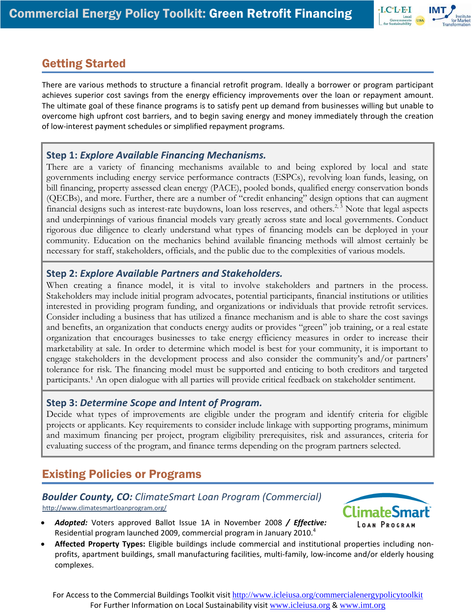

# Getting Started

There are various methods to structure a financial retrofit program. Ideally a borrower or program participant achieves superior cost savings from the energy efficiency improvements over the loan or repayment amount. The ultimate goal of these finance programs is to satisfy pent up demand from businesses willing but unable to overcome high upfront cost barriers, and to begin saving energy and money immediately through the creation of low‐interest payment schedules or simplified repayment programs.

### **Step 1:** *Explore Available Financing Mechanisms.*

There are a variety of financing mechanisms available to and being explored by local and state governments including energy service performance contracts (ESPCs), revolving loan funds, leasing, on bill financing, property assessed clean energy (PACE), pooled bonds, qualified energy conservation bonds (QECBs), and more. Further, there are a number of "credit enhancing" design options that can augment financial designs such as interest-rate buydowns, loan loss reserves, and others.<sup>2, 3</sup> Note that legal aspects and underpinnings of various financial models vary greatly across state and local governments. Conduct rigorous due diligence to clearly understand what types of financing models can be deployed in your community. Education on the mechanics behind available financing methods will almost certainly be necessary for staff, stakeholders, officials, and the public due to the complexities of various models.

### **Step 2:** *Explore Available Partners and Stakeholders.*

When creating a finance model, it is vital to involve stakeholders and partners in the process. Stakeholders may include initial program advocates, potential participants, financial institutions or utilities interested in providing program funding, and organizations or individuals that provide retrofit services. Consider including a business that has utilized a finance mechanism and is able to share the cost savings and benefits, an organization that conducts energy audits or provides "green" job training, or a real estate organization that encourages businesses to take energy efficiency measures in order to increase their marketability at sale. In order to determine which model is best for your community, it is important to engage stakeholders in the development process and also consider the community's and/or partners' tolerance for risk. The financing model must be supported and enticing to both creditors and targeted participants.<sup>1</sup> An open dialogue with all parties will provide critical feedback on stakeholder sentiment.

### **Step 3:** *Determine Scope and Intent of Program.*

Decide what types of improvements are eligible under the program and identify criteria for eligible projects or applicants. Key requirements to consider include linkage with supporting programs, minimum and maximum financing per project, program eligibility prerequisites, risk and assurances, criteria for evaluating success of the program, and finance terms depending on the program partners selected.

# Existing Policies or Programs

#### *Boulder County, CO: ClimateSmart Loan Program (Commercial)* <http://www.climatesmartloanprogram.org/>

• *Adopted:* Voters approved Ballot Issue 1A in November 2008 */ Effective:* Residential program launched 2009, commercial program in January 2010.<sup>4</sup>



• **Affected Property Types:** Eligible buildings include commercial and institutional properties including non‐ profits, apartment buildings, small manufacturing facilities, multi‐family, low‐income and/or elderly housing complexes.

For Access to the Commercial Buildings Toolkit visit http://www.icleiusa.org/commercialenergypolicytoolkit For Further Information on Local Sustainability visit www.icleiusa.org & www.imt.org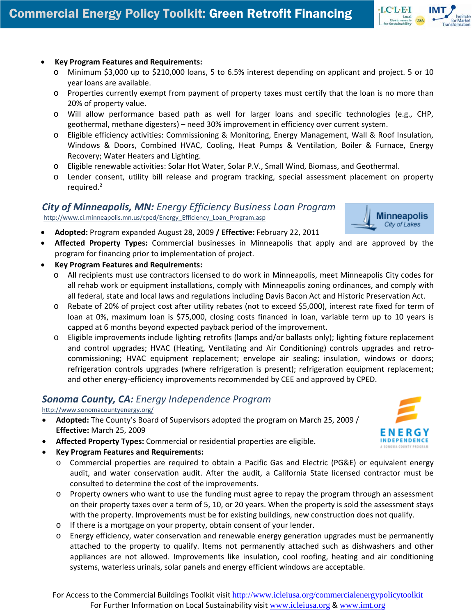#### • **Key Program Features and Requirements:**

- o Minimum \$3,000 up to \$210,000 loans, 5 to 6.5% interest depending on applicant and project. 5 or 10 year loans are available.
- o Properties currently exempt from payment of property taxes must certify that the loan is no more than 20% of property value.
- o Will allow performance based path as well for larger loans and specific technologies (e.g., CHP, geothermal, methane digesters) – need 30% improvement in efficiency over current system.
- o Eligible efficiency activities: Commissioning & Monitoring, Energy Management, Wall & Roof Insulation, Windows & Doors, Combined HVAC, Cooling, Heat Pumps & Ventilation, Boiler & Furnace, Energy Recovery; Water Heaters and Lighting.
- o Eligible renewable activities: Solar Hot Water, Solar P.V., Small Wind, Biomass, and Geothermal.
- o Lender consent, utility bill release and program tracking, special assessment placement on property required.²

#### *City of Minneapolis, MN: Energy Efficiency Business Loan Program* [http://www.ci.minneapolis.mn.us/cped/Energy\\_Efficiency\\_Loan\\_Program.asp](http://www.ci.minneapolis.mn.us/cped/Energy_Efficiency_Loan_Program.asp)



 $\cdot$ I.C $\cdot$ L $\cdot$ E $\cdot$ I

- **Adopted:** Program expanded August 28, 2009 **/ Effective:** February 22, 2011
- **Affected Property Types:** Commercial businesses in Minneapolis that apply and are approved by the program for financing prior to implementation of project.
- **Key Program Features and Requirements:**
	- o All recipients must use contractors licensed to do work in Minneapolis, meet Minneapolis City codes for all rehab work or equipment installations, comply with Minneapolis zoning ordinances, and comply with all federal, state and local laws and regulations including Davis Bacon Act and Historic Preservation Act.
	- o Rebate of 20% of project cost after utility rebates (not to exceed \$5,000), interest rate fixed for term of loan at 0%, maximum loan is \$75,000, closing costs financed in loan, variable term up to 10 years is capped at 6 months beyond expected payback period of the improvement.
	- o Eligible improvements include lighting retrofits (lamps and/or ballasts only); lighting fixture replacement and control upgrades; HVAC (Heating, Ventilating and Air Conditioning) controls upgrades and retrocommissioning; HVAC equipment replacement; envelope air sealing; insulation, windows or doors; refrigeration controls upgrades (where refrigeration is present); refrigeration equipment replacement; and other energy-efficiency improvements recommended by CEE and approved by CPED.

### *Sonoma County, CA: Ene[rg](http://www.sonomacountyenergy.org/)y Independence Program*

#### <http://www.sonomacountyenergy.org/>

- **Adopted:** The County's Board of Supervisors adopted the program on March 25, 2009 / **Effective:** March 25, 2009
- **Affected Property Types:** Commercial or residential properties are eligible.
- **Key Program Features and Requirements:**
	- o Commercial properties are required to obtain a Pacific Gas and Electric (PG&E) or equivalent energy audit, and water conservation audit. After the audit, a California State licensed contractor must be consulted to determine the cost of the improvements.
	- o Property owners who want to use the funding must agree to repay the program through an assessment on their property taxes over a term of 5, 10, or 20 years. When the property is sold the assessment stays with the property. Improvements must be for existing buildings, new construction does not qualify.
	- o If there is a mortgage on your property, obtain consent of your lender.
	- o Energy efficiency, water conservation and renewable energy generation upgrades must be permanently attached to the property to qualify. Items not permanently attached such as dishwashers and other appliances are not allowed. Improvements like insulation, cool roofing, heating and air conditioning systems, waterless urinals, solar panels and energy efficient windows are acceptable.